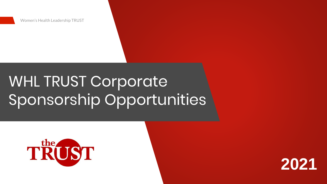Women's Health Leadership TRUST



# WHL TRUST Corporate Sponsorship Opportunities

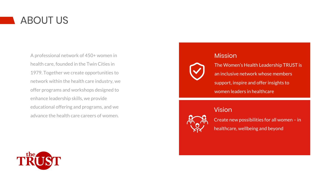

The Women's Health Leadership TRUST is an inclusive network whose members support, inspire and offer insights to women leaders in healthcare

Create new possibilities for all women – in healthcare, wellbeing and beyond



### Vision



A professional network of 450+ women in health care, founded in the Twin Cities in 1979. Together we create opportunities to network within the health care industry, we offer programs and workshops designed to enhance leadership skills, we provide educational offering and programs, and we advance the health care careers of women.



## **Mission**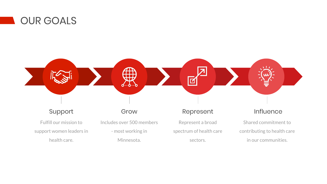Fulfill our mission to support women leaders in health care.

Includes over 500 members

- most working in

Minnesota.



Represent a broad spectrum of health care sectors.

Shared commitment to contributing to health care in our communities.

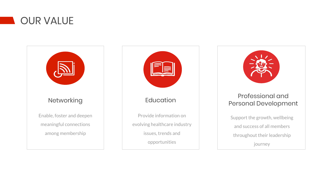



- Provide information on
- evolving healthcare industry
	- issues, trends and
		- opportunities





Support the growth, wellbeing and success of all members throughout their leadership journey

## Professional and Personal Development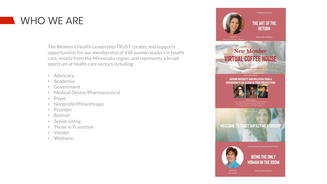## WHO WE ARE

The Women's Health Leadership TRUST creates and supports opportunities for our membership of 450 women leaders in health care, mostly from the Minnesota region, and represents a broad spectrum of health care sectors including:

- Advocacy
- Academia
- Government
- Medical Device/Pharmaceutical
- Payer
- Nonprofit/Philanthropic
- Provider
- Retired
- Senior Living
- Those in Transition
- Vendor
- Wellness



Jacquelyn Fletcher Johnson

**Wellbeing Series:** 

THE ART OF THE **RETURN** 

January 7th at 12:00 pm

## **New Member VIRTUAL COFFEE HOUSE**

February 12th at 8:00 am

**MOVING DIVERSITY AND INCLUSION FROM A** DISCUSSION TO AN ACTION IN YOUR ORGANIZATION

March 2nd at 1:00 pm



**Blue Cross and Blue Shield of Minnesot** .<br>na Nüñez, MD, FACP, University of Minnesota<br>Jacqueline Thomas-Hall, Allina Health.

WELCOME TO TRUST IMPACT MENTORSHIP



Hosted by **Hll Johnson**  Professional Development Series:

**BEING THE ONLY WOMAN IN THE ROOM** 

January 13th at 4:30 pm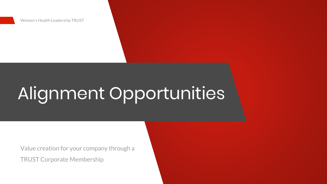

# Alignment Opportunities

Value creation for your company through a TRUST Corporate Membership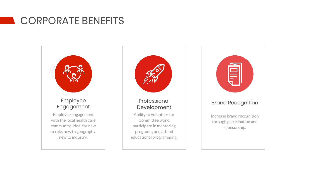## CORPORATE BENEFITS



Increase brand recognition through participation and sponsorship.

## Brand Recognition

Ability to volunteer for Committee work, participate in mentoring programs, and attend educational programming.



## Professional Development

Employee engagement with the local health care community. Ideal for new to role, new to geography, new to industry.



### Employee Engagement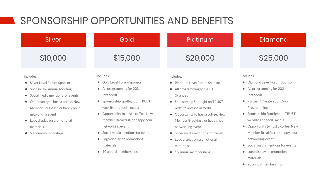## SPONSORSHIP OPPORTUNITIES AND BENEFITS

### Includes:

- Silver Level Forum Sponsor
- Sponsor for Annual Meeting
- Social media mentions for events
- Opportunity to host a coffee, New Member Breakfast, or happy hour networking event
- Logo display on promotional materials
- 5 annual memberships

## Silver

Includes:

- Gold Level Forum Sponsor
- All programming for 2021 (branded)
- Sponsorship Spotlight on TRUST website and social media
- Opportunity to host a coffee, New Member Breakfast, or happy hour networking event
- Social media mentions for events
- Logo display on promotional materials
- 10 annual memberships

### Includes:

- Diamond Level Forum Sponsor
- All programming for 2021 (branded)
- Partner / Create Your Own Programming
- Sponsorship Spotlight on TRUST website and social media
- Opportunity to host a coffee, New Member Breakfast, or happy hour networking event
- Social media mentions for events
- Logo display on promotional materials
- 20 annual memberships

## Gold Platinum Diamond

## \$10,000 \$15,000 \$20,000 \$25,000

### Includes:

- Platinum Level Forum Sponsor
- All programming for 2021 (branded)
- Sponsorship Spotlight on TRUST website and social media
- Opportunity to host a coffee, New Member Breakfast, or happy hour networking event
- Social media mentions for events
- Logo display on promotional materials
- 15 annual memberships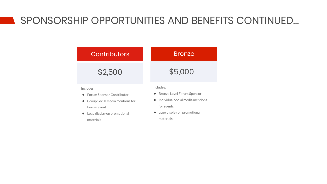Includes:

- Forum Sponsor Contributor
- Group Social media mentions for Forum event
- Logo display on promotional materials

- Bronze Level Forum Sponsor
- Individual Social media mentions for events
- Logo display on promotional materials

Includes:

## \$2,500 \$5,000

## SPONSORSHIP OPPORTUNITIES AND BENEFITS CONTINUED…

## Contributors Nonte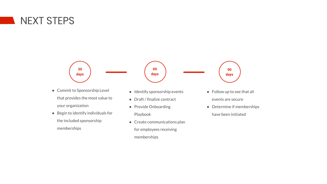## NEXT STEPS



## **60 days**



- Commit to Sponsorship Level that provides the most value to your organization
- Begin to identify individuals for the included sponsorship memberships



- Follow up to see that all events are secure
- Determine if memberships have been initiated

- Identify sponsorship events
- Draft / finalize contract
- Provide Onboarding Playbook
- Create communications plan
	- memberships

for employees receiving